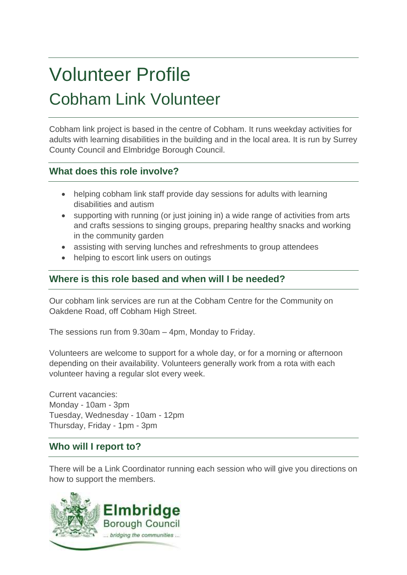# Volunteer Profile Cobham Link Volunteer

Cobham link project is based in the centre of Cobham. It runs weekday activities for adults with learning disabilities in the building and in the local area. It is run by Surrey County Council and Elmbridge Borough Council.

## **What does this role involve?**

- helping cobham link staff provide day sessions for adults with learning disabilities and autism
- supporting with running (or just joining in) a wide range of activities from arts and crafts sessions to singing groups, preparing healthy snacks and working in the community garden
- assisting with serving lunches and refreshments to group attendees
- helping to escort link users on outings

# **Where is this role based and when will I be needed?**

Our cobham link services are run at the Cobham Centre for the Community on Oakdene Road, off Cobham High Street.

The sessions run from 9.30am – 4pm, Monday to Friday.

Volunteers are welcome to support for a whole day, or for a morning or afternoon depending on their availability. Volunteers generally work from a rota with each volunteer having a regular slot every week.

Current vacancies: Monday - 10am - 3pm Tuesday, Wednesday - 10am - 12pm Thursday, Friday - 1pm - 3pm

# **Who will I report to?**

There will be a Link Coordinator running each session who will give you directions on how to support the members.